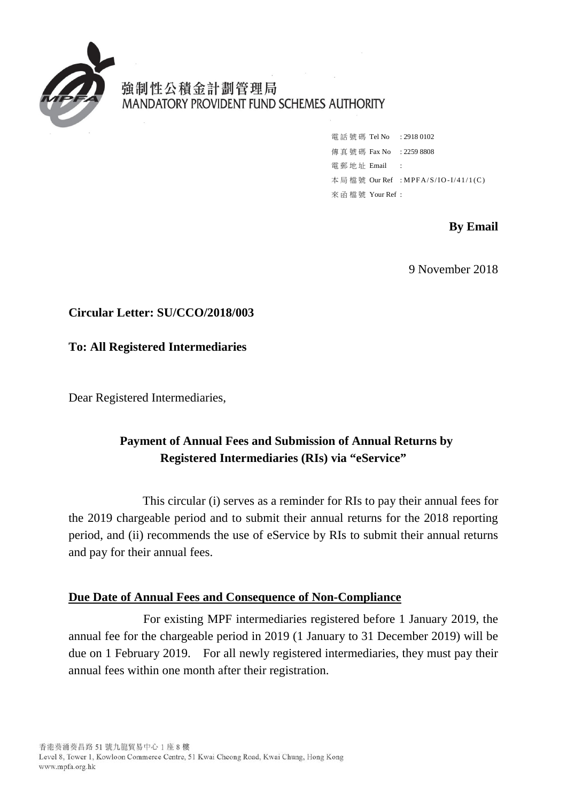

強制性公積金計劃管理局 MANDATORY PROVIDENT FUND SCHEMES AUTHORITY

> 電話號碼 Tel No : 2918 0102 傳真號碼 Fax No : 2259 8808 電郵地址 Email : 本局檔號 Our Ref : MPFA/S/IO -I/41/1(C) 來函檔號 Your Ref :

> > **By Email**

9 November 2018

## **Circular Letter: SU/CCO/2018/003**

**To: All Registered Intermediaries** 

Dear Registered Intermediaries,

# **Registered Intermediaries (RIs) via "eService" Payment of Annual Fees and Submission of Annual Returns by**

 period, and (ii) recommends the use of eService by RIs to submit their annual returns This circular (i) serves as a reminder for RIs to pay their annual fees for the 2019 chargeable period and to submit their annual returns for the 2018 reporting and pay for their annual fees.

## **Due Date of Annual Fees and Consequence of Non-Compliance**

 For existing MPF intermediaries registered before 1 January 2019, the due on 1 February 2019. For all newly registered intermediaries, they must pay their annual fee for the chargeable period in 2019 (1 January to 31 December 2019) will be annual fees within one month after their registration.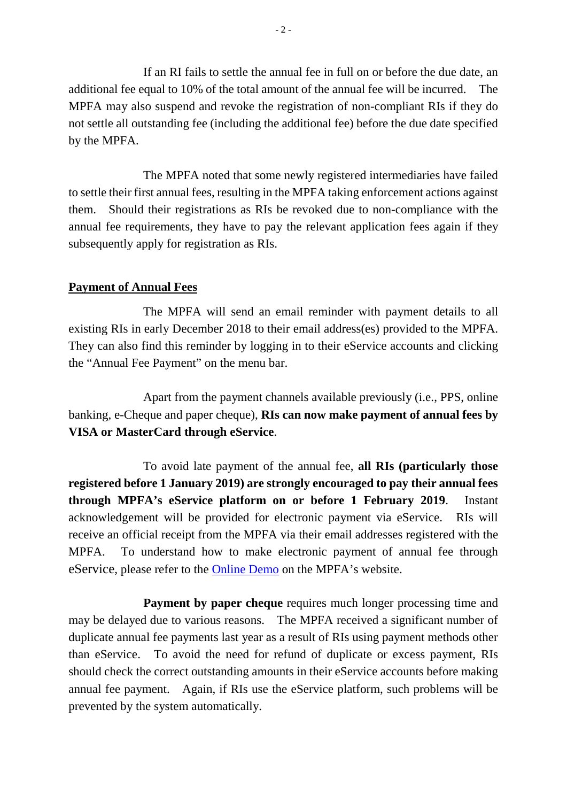additional fee equal to 10% of the total amount of the annual fee will be incurred. The MPFA may also suspend and revoke the registration of non-compliant RIs if they do not settle all outstanding fee (including the additional fee) before the due date specified If an RI fails to settle the annual fee in full on or before the due date, an by the MPFA.

 annual fee requirements, they have to pay the relevant application fees again if they The MPFA noted that some newly registered intermediaries have failed to settle their first annual fees, resulting in the MPFA taking enforcement actions against them. Should their registrations as RIs be revoked due to non-compliance with the subsequently apply for registration as RIs.

#### **Payment of Annual Fees**

 existing RIs in early December 2018 to their email address(es) provided to the MPFA. They can also find this reminder by logging in to their eService accounts and clicking The MPFA will send an email reminder with payment details to all the "Annual Fee Payment" on the menu bar.

 banking, e-Cheque and paper cheque), **RIs can now make payment of annual fees by**  VISA or MasterCard through eService. Apart from the payment channels available previously (i.e., PPS, online

 **through MPFA's eService platform on or before 1 February 2019**. Instant acknowledgement will be provided for electronic payment via eService. RIs will eService, please refer to the **Online Demo** on the MPFA's website. To avoid late payment of the annual fee, **all RIs (particularly those registered before 1 January 2019) are strongly encouraged to pay their annual fees**  receive an official receipt from the MPFA via their email addresses registered with the MPFA. To understand how to make electronic payment of annual fee through

 than eService. To avoid the need for refund of duplicate or excess payment, RIs annual fee payment. Again, if RIs use the eService platform, such problems will be **Payment by paper cheque** requires much longer processing time and may be delayed due to various reasons. The MPFA received a significant number of duplicate annual fee payments last year as a result of RIs using payment methods other should check the correct outstanding amounts in their eService accounts before making prevented by the system automatically.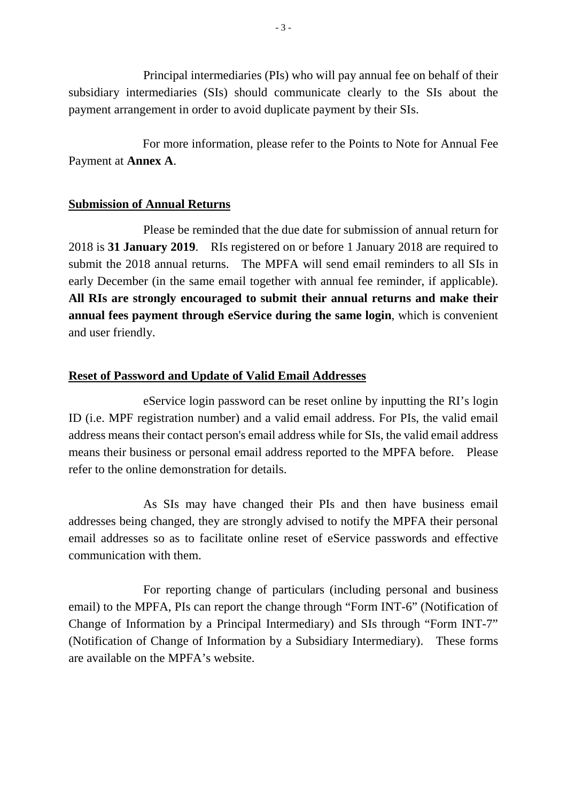payment arrangement in order to avoid duplicate payment by their SIs. Principal intermediaries (PIs) who will pay annual fee on behalf of their subsidiary intermediaries (SIs) should communicate clearly to the SIs about the

For more information, please refer to the Points to Note for Annual Fee Payment at **Annex A**.

## **Submission of Annual Returns**

Please be reminded that the due date for submission of annual return for 2018 is **31 January 2019**. RIs registered on or before 1 January 2018 are required to submit the 2018 annual returns. The MPFA will send email reminders to all SIs in early December (in the same email together with annual fee reminder, if applicable). **All RIs are strongly encouraged to submit their annual returns and make their annual fees payment through eService during the same login**, which is convenient and user friendly.

## **Reset of Password and Update of Valid Email Addresses**

 eService login password can be reset online by inputting the RI's login ID (i.e. MPF registration number) and a valid email address. For PIs, the valid email address means their contact person's email address while for SIs, the valid email address means their business or personal email address reported to the MPFA before. Please refer to the online demonstration for details.

 addresses being changed, they are strongly advised to notify the MPFA their personal communication with them As SIs may have changed their PIs and then have business email email addresses so as to facilitate online reset of eService passwords and effective

 (Notification of Change of Information by a Subsidiary Intermediary). These forms For reporting change of particulars (including personal and business email) to the MPFA, PIs can report the change through "Form INT-6" (Notification of Change of Information by a Principal Intermediary) and SIs through "Form INT-7" are available on the MPFA's website.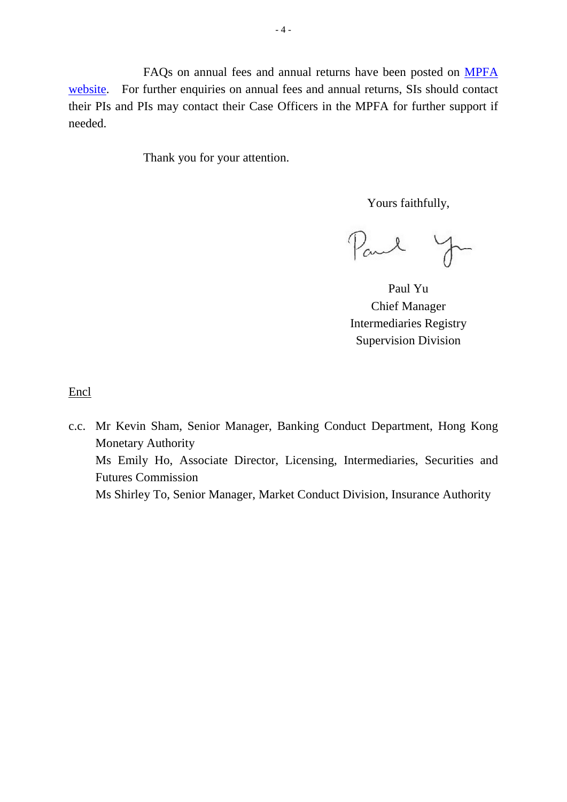FAQs on annual fees and annual returns have been posted on [MPFA](http://www.mpfa.org.hk/eng/information_centre/faq/industry_practitioner/index.jsp)  [website.](http://www.mpfa.org.hk/eng/information_centre/faq/industry_practitioner/index.jsp) For further enquiries on annual fees and annual returns, SIs should contact their PIs and PIs may contact their Case Officers in the MPFA for further support if needed.

Thank you for your attention.

Yours faithfully,

Paul

 Chief Manager Paul Yu Intermediaries Registry Supervision Division

Encl

c.c. Mr Kevin Sham, Senior Manager, Banking Conduct Department, Hong Kong Monetary Authority Ms Emily Ho, Associate Director, Licensing, Intermediaries, Securities and Futures Commission Ms Shirley To, Senior Manager, Market Conduct Division, Insurance Authority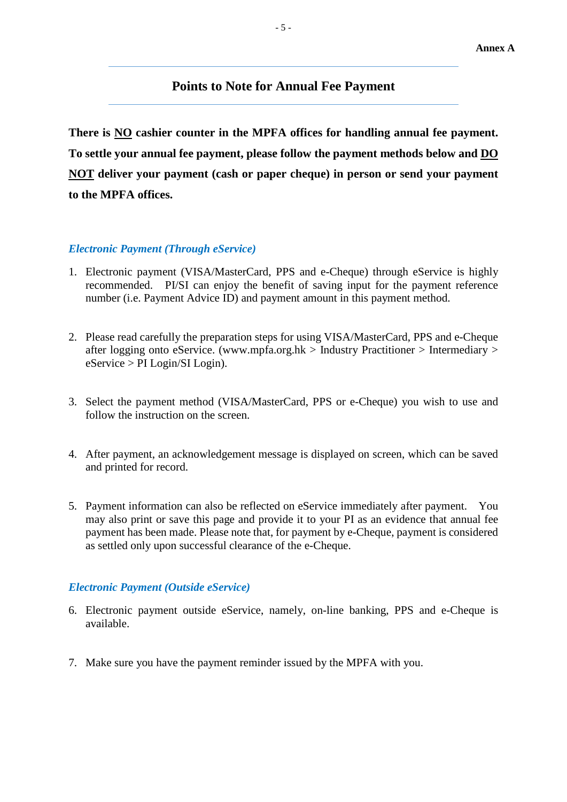### **Points to Note for Annual Fee Payment**

There is NO cashier counter in the MPFA offices for handling annual fee payment. To settle your annual fee payment, please follow the payment methods below and DO **NOT deliver your payment (cash or paper cheque) in person or send your payment to the MPFA offices.** 

#### *Electronic Payment (Through eService)*

- recommended. PI/SI can enjoy the benefit of saving input for the payment reference number (i.e. Payment Advice ID) and payment amount in this payment method. 1. Electronic payment (VISA/MasterCard, PPS and e-Cheque) through eService is highly
- after logging onto eService. [\(www.mpfa.org.hk](http://www.mpfa.org.hk/) > Industry Practitioner > Intermediary >  $eService > PI$  Login/SI Login). 2. Please read carefully the preparation steps for using VISA/MasterCard, PPS and e-Cheque
- 3. Select the payment method (VISA/MasterCard, PPS or e-Cheque) you wish to use and follow the instruction on the screen.
- and printed for record. 4. After payment, an acknowledgement message is displayed on screen, which can be saved
- 5. Payment information can also be reflected on eService immediately after payment. You as settled only upon successful clearance of the e-Cheque. may also print or save this page and provide it to your PI as an evidence that annual fee payment has been made. Please note that, for payment by e-Cheque, payment is considered

#### *Electronic Payment (Outside eService)*

- available. 6. Electronic payment outside eService, namely, on-line banking, PPS and e-Cheque is
- 7. Make sure you have the payment reminder issued by the MPFA with you.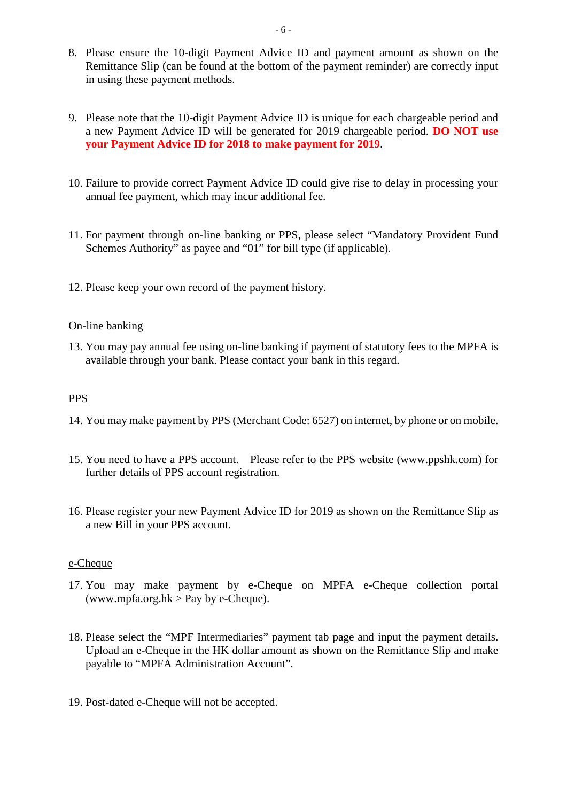- 8. Please ensure the 10-digit Payment Advice ID and payment amount as shown on the Remittance Slip (can be found at the bottom of the payment reminder) are correctly input in using these payment methods.
- a new Payment Advice ID will be generated for 2019 chargeable period. **DO NOT use**  9. Please note that the 10-digit Payment Advice ID is unique for each chargeable period and **your Payment Advice ID for 2018 to make payment for 2019**.
- 10. Failure to provide correct Payment Advice ID could give rise to delay in processing your annual fee payment, which may incur additional fee.
- Schemes Authority" as payee and "01" for bill type (if applicable). 11. For payment through on-line banking or PPS, please select "Mandatory Provident Fund
- 12. Please keep your own record of the payment history.<br>On-line banking

 available through your bank. Please contact your bank in this regard. 13. You may pay annual fee using on-line banking if payment of statutory fees to the MPFA is

#### PPS

- 14. You may make payment by PPS (Merchant Code: 6527) on internet, by phone or on mobile.
- 15. You need to have a PPS account. Please refer to the PPS website (www.ppshk.com) for further details of PPS account registration.
- 16. Please register your new Payment Advice ID for 2019 as shown on the Remittance Slip as a new Bill in your PPS account.

#### e-Cheque

- 17. You may make payment by e-Cheque on MPFA e-Cheque collection portal [\(www.mpfa.org.hk](http://www.mpfa.org.hk/)  $>$  Pay by e-Cheque).
- 18. Please select the "MPF Intermediaries" payment tab page and input the payment details. Upload an e-Cheque in the HK dollar amount as shown on the Remittance Slip and make payable to "MPFA Administration Account".
- 19. Post-dated e-Cheque will not be accepted.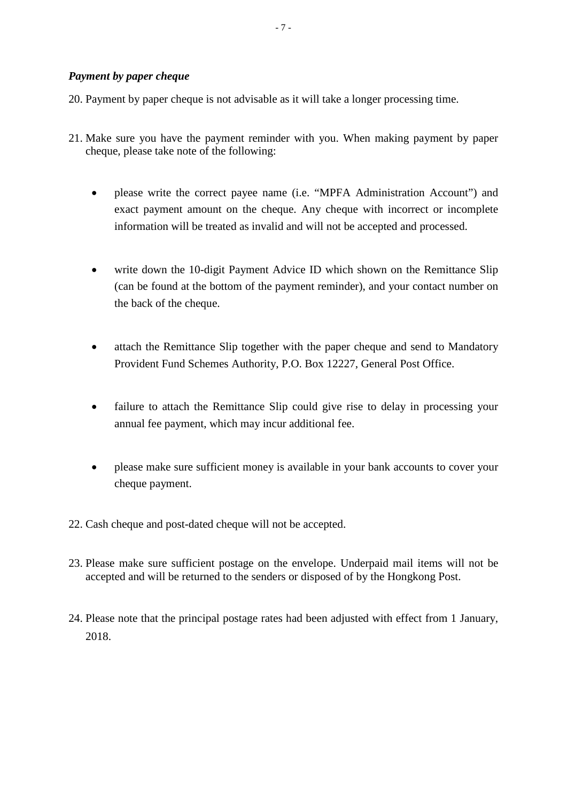20. Payment by paper cheque is not advisable as it will take a longer processing time.

- cheque, please take note of the following: 21. Make sure you have the payment reminder with you. When making payment by paper
	- please write the correct payee name (i.e. "MPFA Administration Account") and exact payment amount on the cheque. Any cheque with incorrect or incomplete information will be treated as invalid and will not be accepted and processed.
	- • write down the 10-digit Payment Advice ID which shown on the Remittance Slip (can be found at the bottom of the payment reminder), and your contact number on the back of the cheque.
	- attach the Remittance Slip together with the paper cheque and send to Mandatory Provident Fund Schemes Authority, P.O. Box 12227, General Post Office.
	- • failure to attach the Remittance Slip could give rise to delay in processing your annual fee payment, which may incur additional fee.
	- • please make sure sufficient money is available in your bank accounts to cover your cheque payment.
- 22. Cash cheque and post-dated cheque will not be accepted.
- 23. Please make sure sufficient postage on the envelope. Underpaid mail items will not be accepted and will be returned to the senders or disposed of by the Hongkong Post.
- 24. Please note that the principal postage rates had been adjusted with effect from 1 January, 2018.